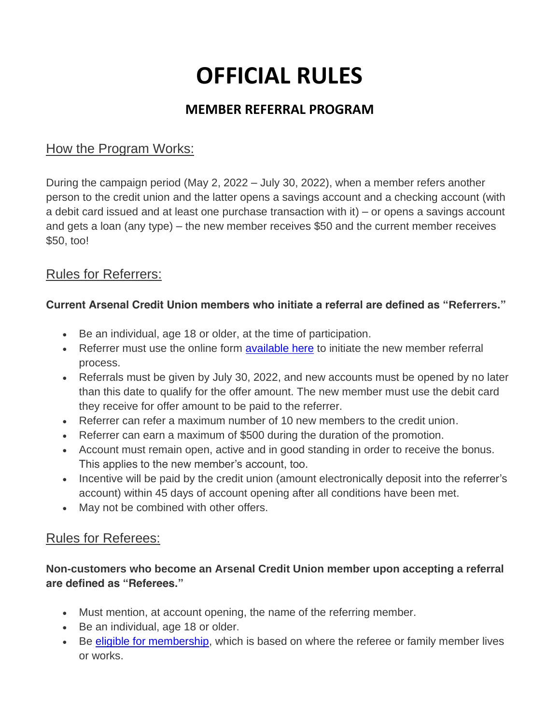# **OFFICIAL RULES**

## **MEMBER REFERRAL PROGRAM**

## How the Program Works:

During the campaign period (May 2, 2022 – July 30, 2022), when a member refers another person to the credit union and the latter opens a savings account and a checking account (with a debit card issued and at least one purchase transaction with it) – or opens a savings account and gets a loan (any type) – the new member receives \$50 and the current member receives \$50, too!

### Rules for Referrers:

### **Current Arsenal Credit Union members who initiate a referral are defined as "Referrers."**

- Be an individual, age 18 or older, at the time of participation.
- Referrer must use the online form [available here](https://arsenalcu.com/2018/03/29/sharing-is-caring-earn-50-for-referring-friends-and-family-to-arsenal/) to initiate the new member referral process.
- Referrals must be given by July 30, 2022, and new accounts must be opened by no later than this date to qualify for the offer amount. The new member must use the debit card they receive for offer amount to be paid to the referrer.
- Referrer can refer a maximum number of 10 new members to the credit union.
- Referrer can earn a maximum of \$500 during the duration of the promotion.
- Account must remain open, active and in good standing in order to receive the bonus. This applies to the new member's account, too.
- Incentive will be paid by the credit union (amount electronically deposit into the referrer's account) within 45 days of account opening after all conditions have been met.
- May not be combined with other offers.

### Rules for Referees:

### **Non-customers who become an Arsenal Credit Union member upon accepting a referral are defined as "Referees."**

- Must mention, at account opening, the name of the referring member.
- Be an individual, age 18 or older.
- Be [eligible for membership,](https://arsenalcu.com/about/eligibility/) which is based on where the referee or family member lives or works.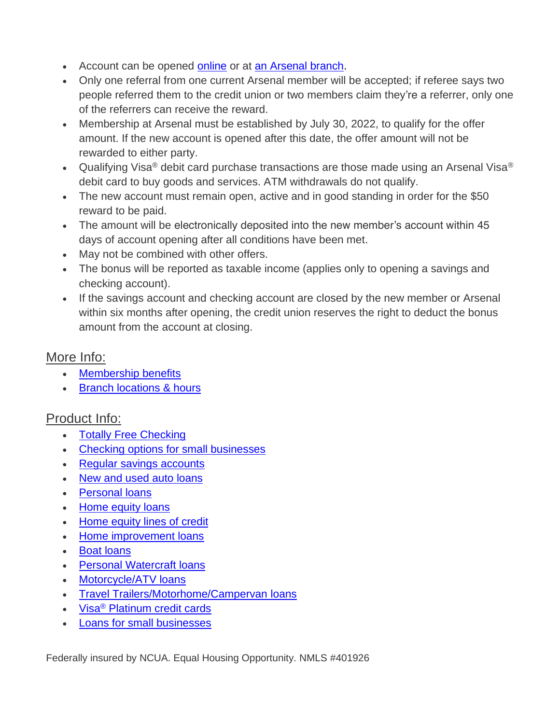- Account can be opened [online](https://arsenalcu.symapp.jhahosted.com/) or at [an Arsenal branch.](https://arsenalcu.com/about/contact-locations/#locations)
- Only one referral from one current Arsenal member will be accepted; if referee says two people referred them to the credit union or two members claim they're a referrer, only one of the referrers can receive the reward.
- Membership at Arsenal must be established by July 30, 2022, to qualify for the offer amount. If the new account is opened after this date, the offer amount will not be rewarded to either party.
- Qualifying Visa<sup>®</sup> debit card purchase transactions are those made using an Arsenal Visa<sup>®</sup> debit card to buy goods and services. ATM withdrawals do not qualify.
- The new account must remain open, active and in good standing in order for the \$50 reward to be paid.
- The amount will be electronically deposited into the new member's account within 45 days of account opening after all conditions have been met.
- May not be combined with other offers.
- The bonus will be reported as taxable income (applies only to opening a savings and checking account).
- If the savings account and checking account are closed by the new member or Arsenal within six months after opening, the credit union reserves the right to deduct the bonus amount from the account at closing.

### More Info:

- [Membership benefits](https://arsenalcu.com/about/membership-perks-2/#rewards)
- [Branch locations & hours](https://arsenalcu.com/about/contact-locations/#locations)

# Product Info:

- [Totally Free Checking](https://arsenalcu.com/spend/checking/totally-free-checking/)
- [Checking options for small businesses](https://arsenalcu.com/spend/checking/business-checking/)
- [Regular savings accounts](https://arsenalcu.com/save/savings/regular-savings/)
- New and used **auto loans**
- [Personal loans](https://arsenalcu.com/borrow/personal/personal-loans/)
- [Home equity loans](https://arsenalcu.com/borrow/home/home-equity-loan/)
- [Home equity lines of credit](https://arsenalcu.com/borrow/home/home-equity-line-of-credit/)
- [Home improvement loans](https://arsenalcu.com/borrow/home/home-improvement-loans/)
- [Boat loans](https://arsenalcu.com/borrow/vehicle/recreational-loans/boat/)
- [Personal Watercraft loans](https://arsenalcu.com/borrow/vehicle/recreational-loans/personal-watercraft/)
- [Motorcycle/ATV loans](https://arsenalcu.com/borrow/vehicle/recreational-loans/motorcycle-atv/)
- [Travel Trailers/Motorhome/Campervan loans](https://arsenalcu.com/borrow/vehicle/recreational-loans/travel-trailer-camper-rv/)
- Visa<sup>®</sup> [Platinum credit cards](https://arsenalcu.com/spend/cards/visa-credit-cards/)
- [Loans for small businesses](https://arsenalcu.com/borrow/business/business-loan/)

*Federally insured by NCUA. Equal Housing Opportunity. NMLS #401926*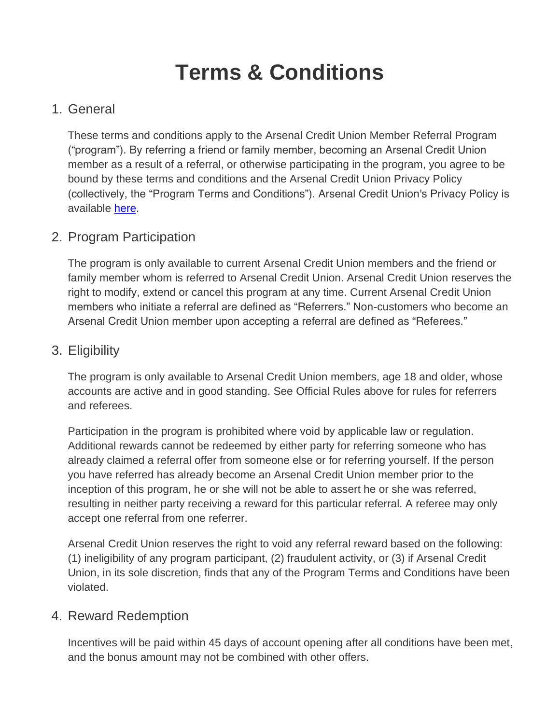# **Terms & Conditions**

# 1. General

These terms and conditions apply to the Arsenal Credit Union Member Referral Program ("program"). By referring a friend or family member, becoming an Arsenal Credit Union member as a result of a referral, or otherwise participating in the program, you agree to be bound by these terms and conditions and the Arsenal Credit Union Privacy Policy (collectively, the "Program Terms and Conditions"). Arsenal Credit Union's Privacy Policy is available [here.](http://www.arsenalcu.com/home/privacy)

## 2. Program Participation

The program is only available to current Arsenal Credit Union members and the friend or family member whom is referred to Arsenal Credit Union. Arsenal Credit Union reserves the right to modify, extend or cancel this program at any time. Current Arsenal Credit Union members who initiate a referral are defined as "Referrers." Non-customers who become an Arsenal Credit Union member upon accepting a referral are defined as "Referees."

### 3. Eligibility

The program is only available to Arsenal Credit Union members, age 18 and older, whose accounts are active and in good standing. See *Official Rules* above for rules for referrers and referees.

Participation in the program is prohibited where void by applicable law or regulation. Additional rewards cannot be redeemed by either party for referring someone who has already claimed a referral offer from someone else or for referring yourself. If the person you have referred has already become an Arsenal Credit Union member prior to the inception of this program, he or she will not be able to assert he or she was referred, resulting in neither party receiving a reward for this particular referral. A referee may only accept one referral from one referrer.

Arsenal Credit Union reserves the right to void any referral reward based on the following: (1) ineligibility of any program participant, (2) fraudulent activity, or (3) if Arsenal Credit Union, in its sole discretion, finds that any of the Program Terms and Conditions have been violated.

### 4. Reward Redemption

Incentives will be paid within 45 days of account opening after all conditions have been met, and the bonus amount may not be combined with other offers.